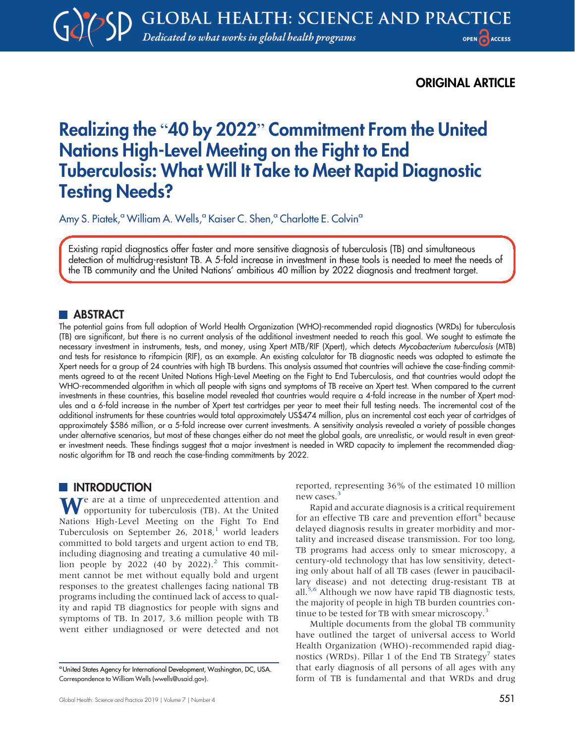ORIGINAL ARTICLE

# Realizing the "40 by 2022" Commitment From the United Nations High-Level Meeting on the Fight to End Tuberculosis: What Will It Take to Meet Rapid Diagnostic Testing Needs?

Amy S. Piatek,<sup>a</sup> William A. Wells,<sup>a</sup> Kaiser C. Shen,<sup>a</sup> Charlotte E. Colvin<sup>a</sup>

Existing rapid diagnostics offer faster and more sensitive diagnosis of tuberculosis (TB) and simultaneous detection of multidrug-resistant TB. A 5-fold increase in investment in these tools is needed to meet the needs of the TB community and the United Nations' ambitious 40 million by 2022 diagnosis and treatment target.

# **ABSTRACT**

The potential gains from full adoption of World Health Organization (WHO)-recommended rapid diagnostics (WRDs) for tuberculosis (TB) are significant, but there is no current analysis of the additional investment needed to reach this goal. We sought to estimate the necessary investment in instruments, tests, and money, using Xpert MTB/RIF (Xpert), which detects Mycobacterium tuberculosis (MTB) and tests for resistance to rifampicin (RIF), as an example. An existing calculator for TB diagnostic needs was adapted to estimate the Xpert needs for a group of 24 countries with high TB burdens. This analysis assumed that countries will achieve the case-finding commitments agreed to at the recent United Nations High-Level Meeting on the Fight to End Tuberculosis, and that countries would adopt the WHO-recommended algorithm in which all people with signs and symptoms of TB receive an Xpert test. When compared to the current investments in these countries, this baseline model revealed that countries would require a 4-fold increase in the number of Xpert modules and a 6-fold increase in the number of Xpert test cartridges per year to meet their full testing needs. The incremental cost of the additional instruments for these countries would total approximately US\$474 million, plus an incremental cost each year of cartridges of approximately \$586 million, or a 5-fold increase over current investments. A sensitivity analysis revealed a variety of possible changes under alternative scenarios, but most of these changes either do not meet the global goals, are unrealistic, or would result in even greater investment needs. These findings suggest that a major investment is needed in WRD capacity to implement the recommended diagnostic algorithm for TB and reach the case-finding commitments by 2022.

# **INTRODUCTION**

We are at a time of unprecedented attention and opportunity for tuberculosis (TB). At the United Nations High-Level Meeting on the Fight To End Tuberculosis on September 26, 20[1](#page-11-0)8, $^1$  world leaders committed to bold targets and urgent action to end TB, including diagnosing and treating a cumulative 40 mil-lion people by [2](#page-11-1)022 (40 by 2022).<sup>2</sup> This commitment cannot be met without equally bold and urgent responses to the greatest challenges facing national TB programs including the continued lack of access to quality and rapid TB diagnostics for people with signs and symptoms of TB. In 2017, 3.6 million people with TB went either undiagnosed or were detected and not

reported, representing 36% of the estimated 10 million new cases.<sup>3</sup>

Rapid and accurate diagnosis is a critical requirement for an effective TB care and prevention effort $4$  because delayed diagnosis results in greater morbidity and mortality and increased disease transmission. For too long, TB programs had access only to smear microscopy, a century-old technology that has low sensitivity, detecting only about half of all TB cases (fewer in paucibacillary disease) and not detecting drug-resistant TB at all.<sup>[5](#page-11-4)[,6](#page-11-5)</sup> Although we now have rapid TB diagnostic tests, the majority of people in high TB burden countries con-tinue to be tested for TB with smear microscopy.<sup>[3](#page-11-2)</sup>

Multiple documents from the global TB community have outlined the target of universal access to World Health Organization (WHO)-recommended rapid diag-nostics (WRDs). Pillar 1 of the End TB Strategy<sup>[7](#page-11-6)</sup> states that early diagnosis of all persons of all ages with any form of TB is fundamental and that WRDs and drug

aUnited States Agency for International Development, Washington, DC, USA. Correspondence to William Wells [\(wwells@usaid.gov\)](mailto:wwells@usaid.gov).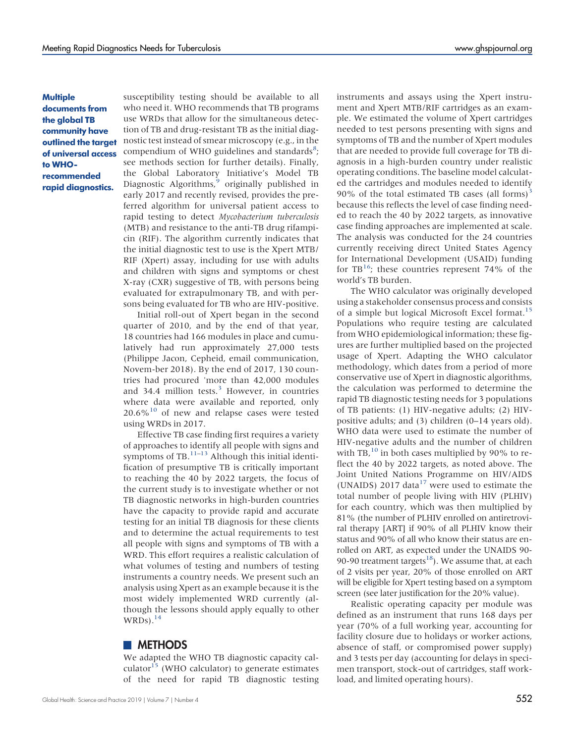# **Multiple** documents from the global TB community have outlined the target of universal access to WHOrecommended rapid diagnostics.

susceptibility testing should be available to all who need it. WHO recommends that TB programs use WRDs that allow for the simultaneous detection of TB and drug-resistant TB as the initial diagnostic test instead of smear microscopy (e.g., in the compendium of WHO guidelines and standards $s$ ; see methods section for further details). Finally, the Global Laboratory Initiative's Model TB Diagnostic Algorithms, $\hat{9}$  originally published in early 2017 and recently revised, provides the preferred algorithm for universal patient access to rapid testing to detect Mycobacterium tuberculosis (MTB) and resistance to the anti-TB drug rifampicin (RIF). The algorithm currently indicates that the initial diagnostic test to use is the Xpert MTB/ RIF (Xpert) assay, including for use with adults and children with signs and symptoms or chest X-ray (CXR) suggestive of TB, with persons being evaluated for extrapulmonary TB, and with persons being evaluated for TB who are HIV-positive.

Initial roll-out of Xpert began in the second quarter of 2010, and by the end of that year, 18 countries had 166 modules in place and cumulatively had run approximately 27,000 tests (Philippe Jacon, Cepheid, email communication, Novem-ber 2018). By the end of 2017, 130 countries had procured 'more than 42,000 modules and [3](#page-11-2)4.4 million tests. $3$  However, in countries where data were available and reported, only  $20.6\%$ <sup>[10](#page-11-9)</sup> of new and relapse cases were tested using WRDs in 2017.

Effective TB case finding first requires a variety of approaches to identify all people with signs and symptoms of TB. $^{11-13}$  $^{11-13}$  $^{11-13}$  Although this initial identification of presumptive TB is critically important to reaching the 40 by 2022 targets, the focus of the current study is to investigate whether or not TB diagnostic networks in high-burden countries have the capacity to provide rapid and accurate testing for an initial TB diagnosis for these clients and to determine the actual requirements to test all people with signs and symptoms of TB with a WRD. This effort requires a realistic calculation of what volumes of testing and numbers of testing instruments a country needs. We present such an analysis using Xpert as an example because it is the most widely implemented WRD currently (although the lessons should apply equally to other  $WRDs$ ).<sup>14</sup>

# **METHODS**

We adapted the WHO TB diagnostic capacity cal-culator<sup>[15](#page-11-13)</sup> (WHO calculator) to generate estimates of the need for rapid TB diagnostic testing

instruments and assays using the Xpert instrument and Xpert MTB/RIF cartridges as an example. We estimated the volume of Xpert cartridges needed to test persons presenting with signs and symptoms of TB and the number of Xpert modules that are needed to provide full coverage for TB diagnosis in a high-burden country under realistic operating conditions. The baseline model calculated the cartridges and modules needed to identify 90% of the total estimated TB cases (all forms)<sup>[3](#page-11-2)</sup> because this reflects the level of case finding needed to reach the 40 by 2022 targets, as innovative case finding approaches are implemented at scale. The analysis was conducted for the 24 countries currently receiving direct United States Agency for International Development (USAID) funding for  $TB^{16}$ ; these countries represent 74% of the world's TB burden.

The WHO calculator was originally developed using a stakeholder consensus process and consists of a simple but logical Microsoft Excel format.<sup>15</sup> Populations who require testing are calculated from WHO epidemiological information; these figures are further multiplied based on the projected usage of Xpert. Adapting the WHO calculator methodology, which dates from a period of more conservative use of Xpert in diagnostic algorithms, the calculation was performed to determine the rapid TB diagnostic testing needs for 3 populations of TB patients: (1) HIV-negative adults; (2) HIVpositive adults; and (3) children (0–14 years old). WHO data were used to estimate the number of HIV-negative adults and the number of children with TB, $^{10}$  $^{10}$  $^{10}$  in both cases multiplied by 90% to reflect the 40 by 2022 targets, as noted above. The Joint United Nations Programme on HIV/AIDS (UNAIDS) 20[17](#page-11-15) data $17$  were used to estimate the total number of people living with HIV (PLHIV) for each country, which was then multiplied by 81% (the number of PLHIV enrolled on antiretroviral therapy [ART] if 90% of all PLHIV know their status and 90% of all who know their status are enrolled on ART, as expected under the UNAIDS 90- 90-90 treatment targets<sup>[18](#page-11-16)</sup>). We assume that, at each of 2 visits per year, 20% of those enrolled on ART will be eligible for Xpert testing based on a symptom screen (see later justification for the 20% value).

Realistic operating capacity per module was defined as an instrument that runs 168 days per year (70% of a full working year, accounting for facility closure due to holidays or worker actions, absence of staff, or compromised power supply) and 3 tests per day (accounting for delays in specimen transport, stock-out of cartridges, staff workload, and limited operating hours).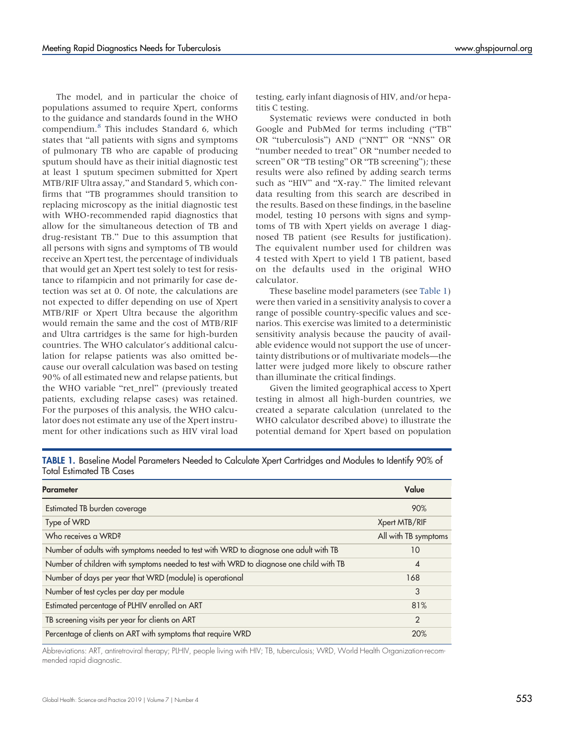The model, and in particular the choice of populations assumed to require Xpert, conforms to the guidance and standards found in the WHO compendium.[8](#page-11-7) This includes Standard 6, which states that "all patients with signs and symptoms of pulmonary TB who are capable of producing sputum should have as their initial diagnostic test at least 1 sputum specimen submitted for Xpert MTB/RIF Ultra assay," and Standard 5, which confirms that "TB programmes should transition to replacing microscopy as the initial diagnostic test with WHO-recommended rapid diagnostics that allow for the simultaneous detection of TB and drug-resistant TB." Due to this assumption that all persons with signs and symptoms of TB would receive an Xpert test, the percentage of individuals that would get an Xpert test solely to test for resistance to rifampicin and not primarily for case detection was set at 0. Of note, the calculations are not expected to differ depending on use of Xpert MTB/RIF or Xpert Ultra because the algorithm would remain the same and the cost of MTB/RIF and Ultra cartridges is the same for high-burden countries. The WHO calculator's additional calculation for relapse patients was also omitted because our overall calculation was based on testing 90% of all estimated new and relapse patients, but the WHO variable "ret\_nrel" (previously treated patients, excluding relapse cases) was retained. For the purposes of this analysis, the WHO calculator does not estimate any use of the Xpert instrument for other indications such as HIV viral load

testing, early infant diagnosis of HIV, and/or hepatitis C testing.

Systematic reviews were conducted in both Google and PubMed for terms including ("TB" OR "tuberculosis") AND ("NNT" OR "NNS" OR "number needed to treat" OR "number needed to screen" OR "TB testing" OR "TB screening"); these results were also refined by adding search terms such as "HIV" and "X-ray." The limited relevant data resulting from this search are described in the results. Based on these findings, in the baseline model, testing 10 persons with signs and symptoms of TB with Xpert yields on average 1 diagnosed TB patient (see Results for justification). The equivalent number used for children was 4 tested with Xpert to yield 1 TB patient, based on the defaults used in the original WHO calculator.

These baseline model parameters (see [Table 1\)](#page-2-0) were then varied in a sensitivity analysis to cover a range of possible country-specific values and scenarios. This exercise was limited to a deterministic sensitivity analysis because the paucity of available evidence would not support the use of uncertainty distributions or of multivariate models—the latter were judged more likely to obscure rather than illuminate the critical findings.

Given the limited geographical access to Xpert testing in almost all high-burden countries, we created a separate calculation (unrelated to the WHO calculator described above) to illustrate the potential demand for Xpert based on population

<span id="page-2-0"></span>TABLE 1. Baseline Model Parameters Needed to Calculate Xpert Cartridges and Modules to Identify 90% of Total Estimated TB Cases

| <b>Parameter</b>                                                                       | Value                  |
|----------------------------------------------------------------------------------------|------------------------|
| Estimated TB burden coverage                                                           | 90%                    |
| Type of WRD                                                                            | Xpert MTB/RIF          |
| Who receives a WRD?                                                                    | All with TB symptoms   |
| Number of adults with symptoms needed to test with WRD to diagnose one adult with TB   | 10                     |
| Number of children with symptoms needed to test with WRD to diagnose one child with TB | $\boldsymbol{\Lambda}$ |
| Number of days per year that WRD (module) is operational                               | 168                    |
| Number of test cycles per day per module                                               | 3                      |
| Estimated percentage of PLHIV enrolled on ART                                          | 81%                    |
| TB screening visits per year for clients on ART                                        | $\mathcal{P}$          |
| Percentage of clients on ART with symptoms that require WRD                            | 20%                    |

Abbreviations: ART, antiretroviral therapy; PLHIV, people living with HIV; TB, tuberculosis; WRD, World Health Organization-recommended rapid diagnostic.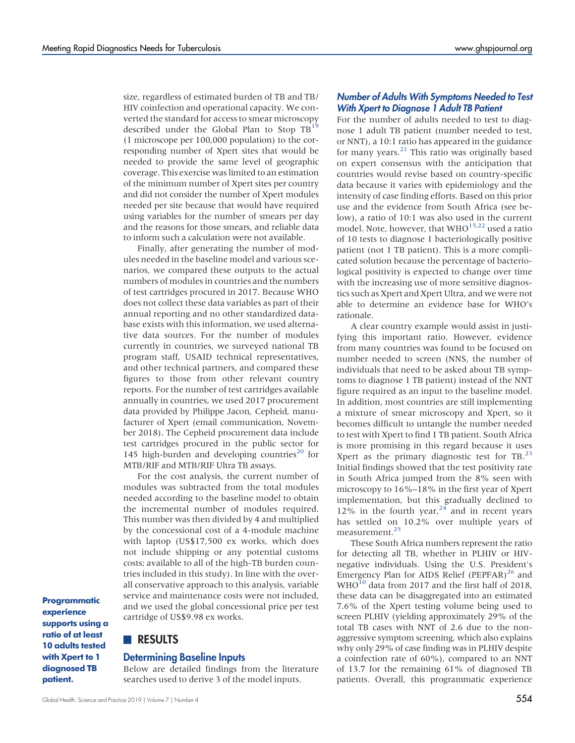size, regardless of estimated burden of TB and TB/ HIV coinfection and operational capacity. We converted the standard for access to smear microscopy described under the Global Plan to Stop  $TB<sup>1</sup>$ (1 microscope per 100,000 population) to the corresponding number of Xpert sites that would be needed to provide the same level of geographic coverage. This exercise was limited to an estimation of the minimum number of Xpert sites per country and did not consider the number of Xpert modules needed per site because that would have required using variables for the number of smears per day and the reasons for those smears, and reliable data to inform such a calculation were not available.

Finally, after generating the number of modules needed in the baseline model and various scenarios, we compared these outputs to the actual numbers of modules in countries and the numbers of test cartridges procured in 2017. Because WHO does not collect these data variables as part of their annual reporting and no other standardized database exists with this information, we used alternative data sources. For the number of modules currently in countries, we surveyed national TB program staff, USAID technical representatives, and other technical partners, and compared these figures to those from other relevant country reports. For the number of test cartridges available annually in countries, we used 2017 procurement data provided by Philippe Jacon, Cepheid, manufacturer of Xpert (email communication, November 2018). The Cepheid procurement data include test cartridges procured in the public sector for 145 high-burden and developing countries<sup>[20](#page-11-18)</sup> for MTB/RIF and MTB/RIF Ultra TB assays.

For the cost analysis, the current number of modules was subtracted from the total modules needed according to the baseline model to obtain the incremental number of modules required. This number was then divided by 4 and multiplied by the concessional cost of a 4-module machine with laptop (US\$17,500 ex works, which does not include shipping or any potential customs costs; available to all of the high-TB burden countries included in this study). In line with the overall conservative approach to this analysis, variable service and maintenance costs were not included, and we used the global concessional price per test cartridge of US\$9.98 ex works.

Programmatic experience supports using a ratio of at least 10 adults tested with Xpert to 1 diagnosed TB patient.

# **RESULTS**

#### Determining Baseline Inputs

Below are detailed findings from the literature searches used to derive 3 of the model inputs.

# Number of Adults With Symptoms Needed to Test With Xpert to Diagnose 1 Adult TB Patient

For the number of adults needed to test to diagnose 1 adult TB patient (number needed to test, or NNT), a 10:1 ratio has appeared in the guidance for many years. $^{21}$  $^{21}$  $^{21}$  This ratio was originally based on expert consensus with the anticipation that countries would revise based on country-specific data because it varies with epidemiology and the intensity of case finding efforts. Based on this prior use and the evidence from South Africa (see below), a ratio of 10:1 was also used in the current model. Note, however, that WHO<sup>[15](#page-11-13)[,22](#page-11-20)</sup> used a ratio of 10 tests to diagnose 1 bacteriologically positive patient (not 1 TB patient). This is a more complicated solution because the percentage of bacteriological positivity is expected to change over time with the increasing use of more sensitive diagnostics such as Xpert and Xpert Ultra, and we were not able to determine an evidence base for WHO's rationale.

A clear country example would assist in justifying this important ratio. However, evidence from many countries was found to be focused on number needed to screen (NNS, the number of individuals that need to be asked about TB symptoms to diagnose 1 TB patient) instead of the NNT figure required as an input to the baseline model. In addition, most countries are still implementing a mixture of smear microscopy and Xpert, so it becomes difficult to untangle the number needed to test with Xpert to find 1 TB patient. South Africa is more promising in this regard because it uses Xpert as the primary diagnostic test for  $TB<sup>23</sup>$ . Initial findings showed that the test positivity rate in South Africa jumped from the 8% seen with microscopy to 16%–18% in the first year of Xpert implementation, but this gradually declined to 12% in the fourth year,  $24$  and in recent years has settled on 10.2% over multiple years of measurement.<sup>25</sup>

These South Africa numbers represent the ratio for detecting all TB, whether in PLHIV or HIVnegative individuals. Using the U.S. President's Emergency Plan for AIDS Relief (PEPFAR)<sup>26</sup> and  $WHO<sup>10</sup>$  data from 2017 and the first half of 2018, these data can be disaggregated into an estimated 7.6% of the Xpert testing volume being used to screen PLHIV (yielding approximately 29% of the total TB cases with NNT of 2.6 due to the nonaggressive symptom screening, which also explains why only 29% of case finding was in PLHIV despite a coinfection rate of 60%), compared to an NNT of 13.7 for the remaining 61% of diagnosed TB patients. Overall, this programmatic experience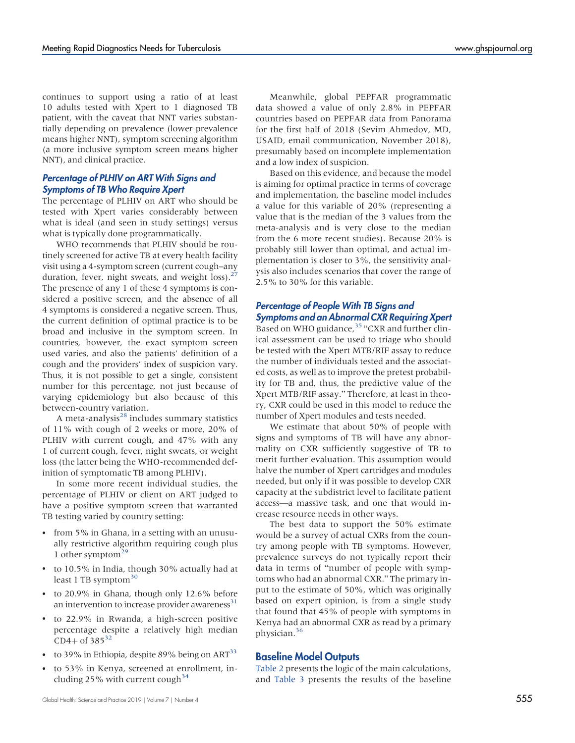continues to support using a ratio of at least 10 adults tested with Xpert to 1 diagnosed TB patient, with the caveat that NNT varies substantially depending on prevalence (lower prevalence means higher NNT), symptom screening algorithm (a more inclusive symptom screen means higher NNT), and clinical practice.

#### Percentage of PLHIV on ART With Signs and Symptoms of TB Who Require Xpert

The percentage of PLHIV on ART who should be tested with Xpert varies considerably between what is ideal (and seen in study settings) versus what is typically done programmatically.

WHO recommends that PLHIV should be routinely screened for active TB at every health facility visit using a 4-symptom screen (current cough–any duration, fever, night sweats, and weight loss). $^{27}$  $^{27}$  $^{27}$ The presence of any 1 of these 4 symptoms is considered a positive screen, and the absence of all 4 symptoms is considered a negative screen. Thus, the current definition of optimal practice is to be broad and inclusive in the symptom screen. In countries, however, the exact symptom screen used varies, and also the patients' definition of a cough and the providers' index of suspicion vary. Thus, it is not possible to get a single, consistent number for this percentage, not just because of varying epidemiology but also because of this between-country variation.

A meta-analysis $^{28}$  $^{28}$  $^{28}$  includes summary statistics of 11% with cough of 2 weeks or more, 20% of PLHIV with current cough, and 47% with any 1 of current cough, fever, night sweats, or weight loss (the latter being the WHO-recommended definition of symptomatic TB among PLHIV).

In some more recent individual studies, the percentage of PLHIV or client on ART judged to have a positive symptom screen that warranted TB testing varied by country setting:

- from 5% in Ghana, in a setting with an unusually restrictive algorithm requiring cough plus 1 other symptom<sup>[29](#page-12-3)</sup>
- to 10.5% in India, though 30% actually had at least 1 TB symptom $30$
- to 20.9% in Ghana, though only 12.6% before an intervention to increase provider awareness<sup>31</sup>
- to 22.9% in Rwanda, a high-screen positive percentage despite a relatively high median  $CD4+$  of 385<sup>[32](#page-12-6)</sup>
- to 39% in Ethiopia, despite 89% being on ART<sup>[33](#page-12-7)</sup>
- to 53% in Kenya, screened at enrollment, including 25% with current cough  $34$

Meanwhile, global PEPFAR programmatic data showed a value of only 2.8% in PEPFAR countries based on PEPFAR data from Panorama for the first half of 2018 (Sevim Ahmedov, MD, USAID, email communication, November 2018), presumably based on incomplete implementation and a low index of suspicion.

Based on this evidence, and because the model is aiming for optimal practice in terms of coverage and implementation, the baseline model includes a value for this variable of 20% (representing a value that is the median of the 3 values from the meta-analysis and is very close to the median from the 6 more recent studies). Because 20% is probably still lower than optimal, and actual implementation is closer to 3%, the sensitivity analysis also includes scenarios that cover the range of 2.5% to 30% for this variable.

# Percentage of People With TB Signs and Symptoms and an Abnormal CXR Requiring Xpert

Based on WHO guidance,<sup>[35](#page-12-9)</sup> "CXR and further clinical assessment can be used to triage who should be tested with the Xpert MTB/RIF assay to reduce the number of individuals tested and the associated costs, as well as to improve the pretest probability for TB and, thus, the predictive value of the Xpert MTB/RIF assay." Therefore, at least in theory, CXR could be used in this model to reduce the number of Xpert modules and tests needed.

We estimate that about 50% of people with signs and symptoms of TB will have any abnormality on CXR sufficiently suggestive of TB to merit further evaluation. This assumption would halve the number of Xpert cartridges and modules needed, but only if it was possible to develop CXR capacity at the subdistrict level to facilitate patient access—a massive task, and one that would increase resource needs in other ways.

The best data to support the 50% estimate would be a survey of actual CXRs from the country among people with TB symptoms. However, prevalence surveys do not typically report their data in terms of "number of people with symptoms who had an abnormal CXR." The primary input to the estimate of 50%, which was originally based on expert opinion, is from a single study that found that 45% of people with symptoms in Kenya had an abnormal CXR as read by a primary physician.[36](#page-12-10)

# Baseline Model Outputs

[Table 2](#page-5-0) presents the logic of the main calculations, and [Table 3](#page-6-0) presents the results of the baseline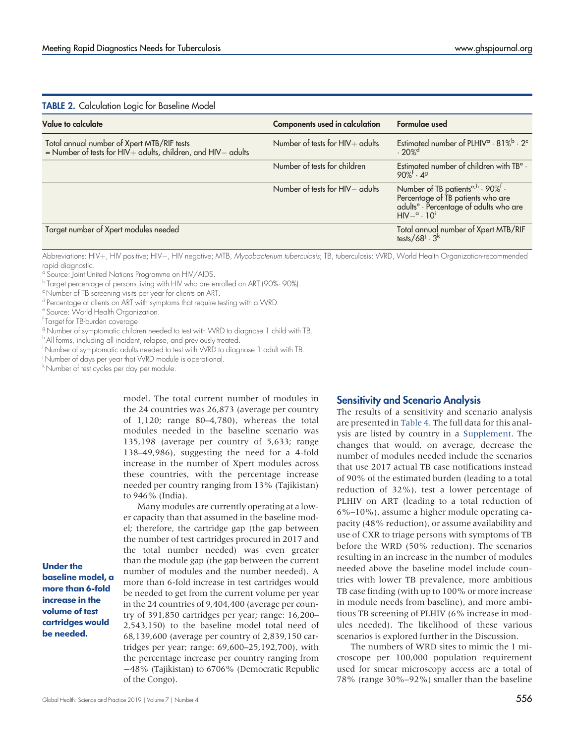<span id="page-5-0"></span>

| <b>TABLE 2.</b> Calculation Logic for Baseline Model                                                             |                                       |                                                                                                                                                                           |  |
|------------------------------------------------------------------------------------------------------------------|---------------------------------------|---------------------------------------------------------------------------------------------------------------------------------------------------------------------------|--|
| Value to calculate                                                                                               | <b>Components used in calculation</b> | Formulae used                                                                                                                                                             |  |
| Total annual number of Xpert MTB/RIF tests<br>= Number of tests for $HIV$ + adults, children, and $HIV$ - adults | Number of tests for $HIV +$ adults    | Estimated number of PLHIV <sup>a</sup> · 81% <sup>b</sup> · 2 <sup>c</sup><br>.20%                                                                                        |  |
|                                                                                                                  | Number of tests for children          | Estimated number of children with TB <sup>e</sup> .<br>$90\%$ <sup>†</sup> . 49                                                                                           |  |
|                                                                                                                  | Number of tests for HIV- adults       | Number of TB patients <sup>e,h</sup> · 90% <sup>f</sup> ·<br>Percentage of TB patients who are<br>adults <sup>e</sup> · Percentage of adults who are<br>$HIV-a \cdot 10t$ |  |
| Target number of Xpert modules needed                                                                            |                                       | Total annual number of Xpert MTB/RIF<br>tests/68 <sup>i</sup> · 3 <sup>k</sup>                                                                                            |  |

Abbreviations: HIV+, HIV positive; HIV-, HIV negative; MTB, Mycobacterium tuberculosis; TB, tuberculosis; WRD, World Health Organization-recommended rapid diagnostic.

<sup>a</sup> Source: Joint United Nations Programme on HIV/AIDS.

<sup>b</sup> Target percentage of persons living with HIV who are enrolled on ART (90%· 90%).

<sup>c</sup> Number of TB screening visits per year for clients on ART.

<sup>d</sup> Percentage of clients on ART with symptoms that require testing with a WRD.

<sup>e</sup> Source: World Health Organization.

f Target for TB-burden coverage.

<sup>9</sup> Number of symptomatic children needed to test with WRD to diagnose 1 child with TB.

h All forms, including all incident, relapse, and previously treated.

i Number of symptomatic adults needed to test with WRD to diagnose 1 adult with TB.

j Number of days per year that WRD module is operational.

k Number of test cycles per day per module.

model. The total current number of modules in the 24 countries was 26,873 (average per country of 1,120; range 80–4,780), whereas the total modules needed in the baseline scenario was 135,198 (average per country of 5,633; range 138–49,986), suggesting the need for a 4-fold increase in the number of Xpert modules across these countries, with the percentage increase needed per country ranging from 13% (Tajikistan) to 946% (India).

Many modules are currently operating at a lower capacity than that assumed in the baseline model; therefore, the cartridge gap (the gap between the number of test cartridges procured in 2017 and the total number needed) was even greater than the module gap (the gap between the current number of modules and the number needed). A more than 6-fold increase in test cartridges would be needed to get from the current volume per year in the 24 countries of 9,404,400 (average per country of 391,850 cartridges per year; range: 16,200– 2,543,150) to the baseline model total need of 68,139,600 (average per country of 2,839,150 cartridges per year; range: 69,600–25,192,700), with the percentage increase per country ranging from 48% (Tajikistan) to 6706% (Democratic Republic of the Congo).

# Sensitivity and Scenario Analysis

The results of a sensitivity and scenario analysis are presented in [Table 4.](#page-7-0) The full data for this analysis are listed by country in a [Supplement.](http://ghspjournal.org/lookup/suppl/doi:10.9745/GHSP-D-19-00244/-/DCSupplemental) The changes that would, on average, decrease the number of modules needed include the scenarios that use 2017 actual TB case notifications instead of 90% of the estimated burden (leading to a total reduction of 32%), test a lower percentage of PLHIV on ART (leading to a total reduction of 6%–10%), assume a higher module operating capacity (48% reduction), or assume availability and use of CXR to triage persons with symptoms of TB before the WRD (50% reduction). The scenarios resulting in an increase in the number of modules needed above the baseline model include countries with lower TB prevalence, more ambitious TB case finding (with up to 100% or more increase in module needs from baseline), and more ambitious TB screening of PLHIV (6% increase in modules needed). The likelihood of these various scenarios is explored further in the Discussion.

The numbers of WRD sites to mimic the 1 microscope per 100,000 population requirement used for smear microscopy access are a total of 78% (range 30%–92%) smaller than the baseline

Under the baseline model, a more than 6-fold increase in the volume of test cartridges would be needed.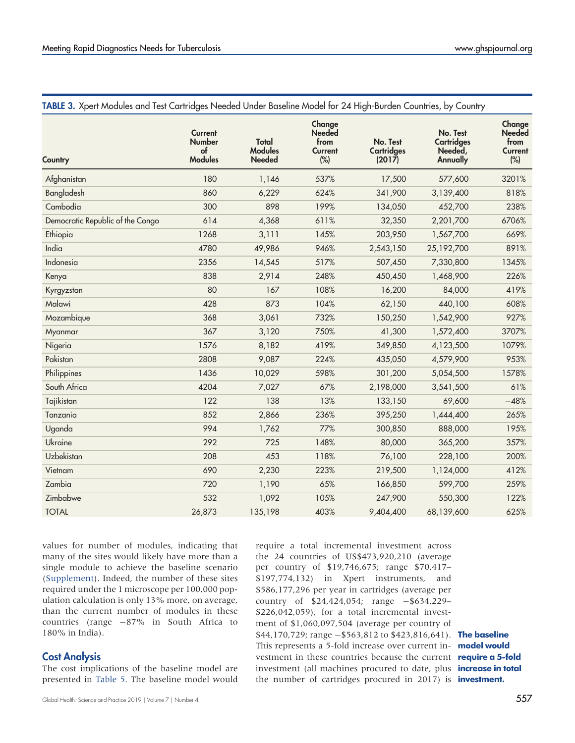| Country                          | <b>Current</b><br><b>Number</b><br>$\circ$ f<br><b>Modules</b> | Total<br><b>Modules</b><br><b>Needed</b> | Change<br><b>Needed</b><br>from<br>Current<br>(%) | No. Test<br><b>Cartridges</b><br>(2017) | No. Test<br><b>Cartridges</b><br>Needed,<br><b>Annually</b> | Change<br><b>Needed</b><br>from<br><b>Current</b><br>(%) |
|----------------------------------|----------------------------------------------------------------|------------------------------------------|---------------------------------------------------|-----------------------------------------|-------------------------------------------------------------|----------------------------------------------------------|
| Afghanistan                      | 180                                                            | 1,146                                    | 537%                                              | 17,500                                  | 577,600                                                     | 3201%                                                    |
| Bangladesh                       | 860                                                            | 6,229                                    | 624%                                              | 341,900                                 | 3,139,400                                                   | 818%                                                     |
| Cambodia                         | 300                                                            | 898                                      | 199%                                              | 134,050                                 | 452,700                                                     | 238%                                                     |
| Democratic Republic of the Congo | 614                                                            | 4,368                                    | 611%                                              | 32,350                                  | 2,201,700                                                   | 6706%                                                    |
| Ethiopia                         | 1268                                                           | 3,111                                    | 145%                                              | 203,950                                 | 1,567,700                                                   | 669%                                                     |
| India                            | 4780                                                           | 49,986                                   | 946%                                              | 2,543,150                               | 25,192,700                                                  | 891%                                                     |
| Indonesia                        | 2356                                                           | 14,545                                   | 517%                                              | 507,450                                 | 7,330,800                                                   | 1345%                                                    |
| Kenya                            | 838                                                            | 2,914                                    | 248%                                              | 450,450                                 | 1,468,900                                                   | 226%                                                     |
| Kyrgyzstan                       | 80                                                             | 167                                      | 108%                                              | 16,200                                  | 84,000                                                      | 419%                                                     |
| Malawi                           | 428                                                            | 873                                      | 104%                                              | 62,150                                  | 440,100                                                     | 608%                                                     |
| Mozambique                       | 368                                                            | 3,061                                    | 732%                                              | 150,250                                 | 1,542,900                                                   | 927%                                                     |
| Myanmar                          | 367                                                            | 3,120                                    | 750%                                              | 41,300                                  | 1,572,400                                                   | 3707%                                                    |
| Nigeria                          | 1576                                                           | 8,182                                    | 419%                                              | 349,850                                 | 4,123,500                                                   | 1079%                                                    |
| Pakistan                         | 2808                                                           | 9,087                                    | 224%                                              | 435,050                                 | 4,579,900                                                   | 953%                                                     |
| Philippines                      | 1436                                                           | 10,029                                   | 598%                                              | 301,200                                 | 5,054,500                                                   | 1578%                                                    |
| South Africa                     | 4204                                                           | 7,027                                    | 67%                                               | 2,198,000                               | 3,541,500                                                   | 61%                                                      |
| Tajikistan                       | 122                                                            | 138                                      | 13%                                               | 133,150                                 | 69,600                                                      | $-48%$                                                   |
| Tanzania                         | 852                                                            | 2,866                                    | 236%                                              | 395,250                                 | 1,444,400                                                   | 265%                                                     |
| Uganda                           | 994                                                            | 1,762                                    | 77%                                               | 300,850                                 | 888,000                                                     | 195%                                                     |
| Ukraine                          | 292                                                            | 725                                      | 148%                                              | 80,000                                  | 365,200                                                     | 357%                                                     |
| Uzbekistan                       | 208                                                            | 453                                      | 118%                                              | 76,100                                  | 228,100                                                     | 200%                                                     |
| Vietnam                          | 690                                                            | 2,230                                    | 223%                                              | 219,500                                 | 1,124,000                                                   | 412%                                                     |
| Zambia                           | 720                                                            | 1,190                                    | 65%                                               | 166,850                                 | 599,700                                                     | 259%                                                     |
| Zimbabwe                         | 532                                                            | 1,092                                    | 105%                                              | 247,900                                 | 550,300                                                     | 122%                                                     |
| <b>TOTAL</b>                     | 26,873                                                         | 135,198                                  | 403%                                              | 9,404,400                               | 68,139,600                                                  | 625%                                                     |

# <span id="page-6-0"></span>TABLE 3. Xpert Modules and Test Cartridges Needed Under Baseline Model for 24 High-Burden Countries, by Country

values for number of modules, indicating that many of the sites would likely have more than a single module to achieve the baseline scenario ([Supplement\)](http://ghspjournal.org/lookup/suppl/doi:10.9745/GHSP-D-19-00244/-/DCSupplemental). Indeed, the number of these sites required under the 1 microscope per 100,000 population calculation is only 13% more, on average, than the current number of modules in these countries (range  $-87\%$  in South Africa to 180% in India).

# Cost Analysis

The cost implications of the baseline model are presented in [Table 5](#page-8-0). The baseline model would require a total incremental investment across the 24 countries of US\$473,920,210 (average per country of \$19,746,675; range \$70,417– \$197,774,132) in Xpert instruments, and \$586,177,296 per year in cartridges (average per country of  $$24,424,054$ ; range  $-$634,229-$ \$226,042,059), for a total incremental investment of \$1,060,097,504 (average per country of \$44,170,729; range -\$563,812 to \$423,816,641). The baseline This represents a 5-fold increase over current in- model would vestment in these countries because the current **require a 5-fold** investment (all machines procured to date, plus **increase in total** the number of cartridges procured in 2017) is **investment.**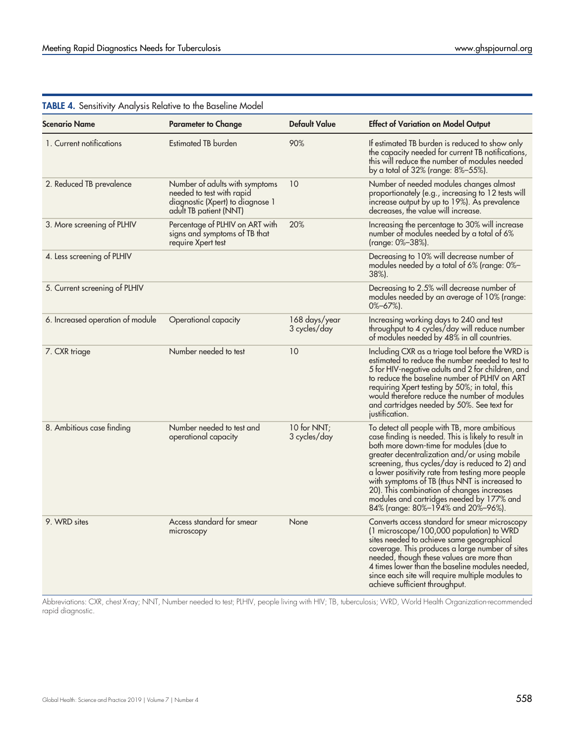| <b>Scenario Name</b>             | <b>Parameter to Change</b>                                                                                                | <b>Default Value</b>          | <b>Effect of Variation on Model Output</b>                                                                                                                                                                                                                                                                                                                                                                                                                                              |
|----------------------------------|---------------------------------------------------------------------------------------------------------------------------|-------------------------------|-----------------------------------------------------------------------------------------------------------------------------------------------------------------------------------------------------------------------------------------------------------------------------------------------------------------------------------------------------------------------------------------------------------------------------------------------------------------------------------------|
| 1. Current notifications         | Estimated TB burden                                                                                                       | 90%                           | If estimated TB burden is reduced to show only<br>the capacity needed for current TB notifications,<br>this will reduce the number of modules needed<br>by a total of 32% (range: 8%-55%).                                                                                                                                                                                                                                                                                              |
| 2. Reduced TB prevalence         | Number of adults with symptoms<br>needed to test with rapid<br>diagnostic (Xpert) to diagnose 1<br>adult TB patient (NNT) | 10                            | Number of needed modules changes almost<br>proportionately (e.g., increasing to 12 tests will<br>increase output by up to 19%). As prevalence<br>decreases, the value will increase.                                                                                                                                                                                                                                                                                                    |
| 3. More screening of PLHIV       | Percentage of PLHIV on ART with<br>signs and symptoms of TB that<br>require Xpert test                                    | 20%                           | Increasing the percentage to 30% will increase<br>number of modules needed by a total of 6%<br>(range: 0%–38%).                                                                                                                                                                                                                                                                                                                                                                         |
| 4. Less screening of PLHIV       |                                                                                                                           |                               | Decreasing to 10% will decrease number of<br>modules needed by a total of 6% (range: 0%-<br>38%).                                                                                                                                                                                                                                                                                                                                                                                       |
| 5. Current screening of PLHIV    |                                                                                                                           |                               | Decreasing to 2.5% will decrease number of<br>modules needed by an average of 10% (range:<br>$0\% - 67\%$ ).                                                                                                                                                                                                                                                                                                                                                                            |
| 6. Increased operation of module | Operational capacity                                                                                                      | 168 days/year<br>3 cycles/day | Increasing working days to 240 and test<br>throughput to 4 cycles/day will reduce number<br>of modules needed by 48% in all countries.                                                                                                                                                                                                                                                                                                                                                  |
| 7. CXR triage                    | Number needed to test                                                                                                     | 10                            | Including CXR as a triage tool before the WRD is<br>estimated to reduce the number needed to test to<br>5 for HIV-negative adults and 2 for children, and<br>to reduce the baseline number of PLHIV on ART<br>requiring Xpert testing by 50%; in total, this<br>would therefore reduce the number of modules<br>and cartridges needed by 50%. See text for<br>justitication.                                                                                                            |
| 8. Ambitious case finding        | Number needed to test and<br>operational capacity                                                                         | 10 for NNT;<br>3 cycles/day   | To detect all people with TB, more ambitious<br>case finding is needed. This is likely to result in<br>both more down-time for modules (due to<br>greater decentralization and/or using mobile<br>screening, thus cycles/day is reduced to 2) and<br>a lower positivity rate from testing more people<br>with symptoms of TB (thus NNT is increased to<br>20). This combination of changes increases<br>modules and cartridges needed by 177% and<br>84% (range: 80%-194% and 20%-96%). |
| 9. WRD sites                     | Access standard for smear<br>microscopy                                                                                   | None                          | Converts access standard for smear microscopy<br>(1 microscope/100,000 population) to WRD<br>sites needed to achieve same geographical<br>coverage. This produces a large number of sites<br>needed, though these values are more than<br>4 times lower than the baseline modules needed,<br>since each site will require multiple modules to<br>achieve sufficient throughput.                                                                                                         |

# <span id="page-7-0"></span>TABLE 4. Sensitivity Analysis Relative to the Baseline Model

Abbreviations: CXR, chest X-ray; NNT, Number needed to test; PLHIV, people living with HIV; TB, tuberculosis; WRD, World Health Organization-recommended rapid diagnostic.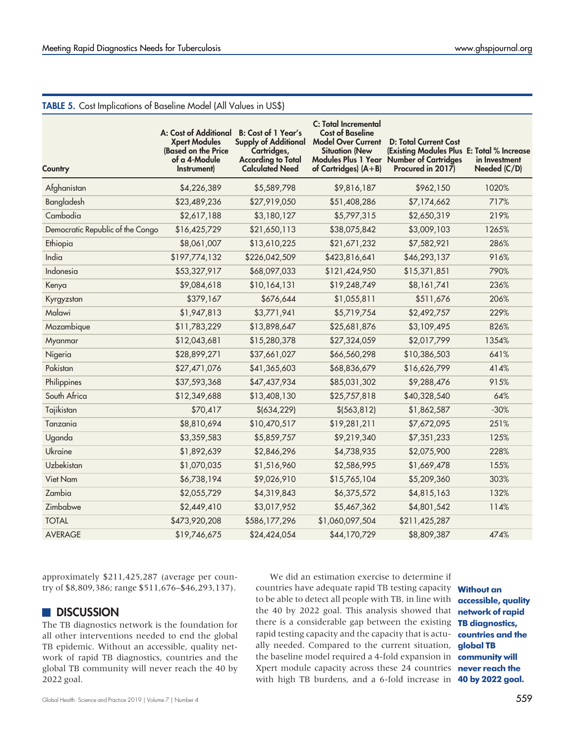| <b>IABLE 5.</b> Cost Implications of Baseline Model (All Values in US\$) |                                                                                                      |                                                                                                                                 |                                                                                                                                          |                                                                                                                                             |                               |
|--------------------------------------------------------------------------|------------------------------------------------------------------------------------------------------|---------------------------------------------------------------------------------------------------------------------------------|------------------------------------------------------------------------------------------------------------------------------------------|---------------------------------------------------------------------------------------------------------------------------------------------|-------------------------------|
| Country                                                                  | A: Cost of Additional<br><b>Xpert Modules</b><br>(Based on the Price<br>of a 4-Module<br>Instrument) | <b>B:</b> Cost of 1 Year's<br><b>Supply of Additional</b><br>Cartridges,<br><b>According to Total</b><br><b>Calculated Need</b> | <b>C: Total Incremental</b><br><b>Cost of Baseline</b><br><b>Model Over Current</b><br><b>Situation (New</b><br>of Cartridges) $(A + B)$ | <b>D: Total Current Cost</b><br>(Existing Modules Plus E: Total % Increase<br>Modules Plus 1 Year Number of Cartridges<br>Procured in 2017) | in Investment<br>Needed (C/D) |
| Afghanistan                                                              | \$4,226,389                                                                                          | \$5,589,798                                                                                                                     | \$9,816,187                                                                                                                              | \$962,150                                                                                                                                   | 1020%                         |
| Bangladesh                                                               | \$23,489,236                                                                                         | \$27,919,050                                                                                                                    | \$51,408,286                                                                                                                             | \$7,174,662                                                                                                                                 | 717%                          |
| Cambodia                                                                 | \$2,617,188                                                                                          | \$3,180,127                                                                                                                     | \$5,797,315                                                                                                                              | \$2,650,319                                                                                                                                 | 219%                          |
| Democratic Republic of the Congo                                         | \$16,425,729                                                                                         | \$21,650,113                                                                                                                    | \$38,075,842                                                                                                                             | \$3,009,103                                                                                                                                 | 1265%                         |
| Ethiopia                                                                 | \$8,061,007                                                                                          | \$13,610,225                                                                                                                    | \$21,671,232                                                                                                                             | \$7,582,921                                                                                                                                 | 286%                          |
| India                                                                    | \$197,774,132                                                                                        | \$226,042,509                                                                                                                   | \$423,816,641                                                                                                                            | \$46,293,137                                                                                                                                | 916%                          |
| Indonesia                                                                | \$53,327,917                                                                                         | \$68,097,033                                                                                                                    | \$121,424,950                                                                                                                            | \$15,371,851                                                                                                                                | 790%                          |
| Kenya                                                                    | \$9,084,618                                                                                          | \$10,164,131                                                                                                                    | \$19,248,749                                                                                                                             | \$8,161,741                                                                                                                                 | 236%                          |
| Kyrgyzstan                                                               | \$379,167                                                                                            | \$676,644                                                                                                                       | \$1,055,811                                                                                                                              | \$511,676                                                                                                                                   | 206%                          |
| Malawi                                                                   | \$1,947,813                                                                                          | \$3,771,941                                                                                                                     | \$5,719,754                                                                                                                              | \$2,492,757                                                                                                                                 | 229%                          |
| Mozambique                                                               | \$11,783,229                                                                                         | \$13,898,647                                                                                                                    | \$25,681,876                                                                                                                             | \$3,109,495                                                                                                                                 | 826%                          |
| Myanmar                                                                  | \$12,043,681                                                                                         | \$15,280,378                                                                                                                    | \$27,324,059                                                                                                                             | \$2,017,799                                                                                                                                 | 1354%                         |
| Nigeria                                                                  | \$28,899,271                                                                                         | \$37,661,027                                                                                                                    | \$66,560,298                                                                                                                             | \$10,386,503                                                                                                                                | 641%                          |
| Pakistan                                                                 | \$27,471,076                                                                                         | \$41,365,603                                                                                                                    | \$68,836,679                                                                                                                             | \$16,626,799                                                                                                                                | 414%                          |
| Philippines                                                              | \$37,593,368                                                                                         | \$47,437,934                                                                                                                    | \$85,031,302                                                                                                                             | \$9,288,476                                                                                                                                 | 915%                          |
| South Africa                                                             | \$12,349,688                                                                                         | \$13,408,130                                                                                                                    | \$25,757,818                                                                                                                             | \$40,328,540                                                                                                                                | 64%                           |
| Tajikistan                                                               | \$70,417                                                                                             | \$ (634, 229)                                                                                                                   | \$ (563, 812)                                                                                                                            | \$1,862,587                                                                                                                                 | $-30%$                        |
| Tanzania                                                                 | \$8,810,694                                                                                          | \$10,470,517                                                                                                                    | \$19,281,211                                                                                                                             | \$7,672,095                                                                                                                                 | 251%                          |
| Uganda                                                                   | \$3,359,583                                                                                          | \$5,859,757                                                                                                                     | \$9,219,340                                                                                                                              | \$7,351,233                                                                                                                                 | 125%                          |
| Ukraine                                                                  | \$1,892,639                                                                                          | \$2,846,296                                                                                                                     | \$4,738,935                                                                                                                              | \$2,075,900                                                                                                                                 | 228%                          |
| Uzbekistan                                                               | \$1,070,035                                                                                          | \$1,516,960                                                                                                                     | \$2,586,995                                                                                                                              | \$1,669,478                                                                                                                                 | 155%                          |
| Viet Nam                                                                 | \$6,738,194                                                                                          | \$9,026,910                                                                                                                     | \$15,765,104                                                                                                                             | \$5,209,360                                                                                                                                 | 303%                          |
| Zambia                                                                   | \$2,055,729                                                                                          | \$4,319,843                                                                                                                     | \$6,375,572                                                                                                                              | \$4,815,163                                                                                                                                 | 132%                          |
| Zimbabwe                                                                 | \$2,449,410                                                                                          | \$3,017,952                                                                                                                     | \$5,467,362                                                                                                                              | \$4,801,542                                                                                                                                 | 114%                          |
| <b>TOTAL</b>                                                             | \$473,920,208                                                                                        | \$586,177,296                                                                                                                   | \$1,060,097,504                                                                                                                          | \$211,425,287                                                                                                                               |                               |
| <b>AVERAGE</b>                                                           | \$19,746,675                                                                                         | \$24,424,054                                                                                                                    | \$44,170,729                                                                                                                             | \$8,809,387                                                                                                                                 | 474%                          |

#### <span id="page-8-0"></span>TABLE 5. Cost Implications of Baseline Model (All Values in US\$)

approximately \$211,425,287 (average per country of \$8,809,386; range \$511,676–\$46,293,137).

# **DISCUSSION**

The TB diagnostics network is the foundation for all other interventions needed to end the global TB epidemic. Without an accessible, quality network of rapid TB diagnostics, countries and the global TB community will never reach the 40 by 2022 goal.

We did an estimation exercise to determine if countries have adequate rapid TB testing capacity **Without an** to be able to detect all people with TB, in line with **accessible, quality** the 40 by 2022 goal. This analysis showed that **network of rapid** there is a considerable gap between the existing TB diagnostics, rapid testing capacity and the capacity that is actu- **countries and the** ally needed. Compared to the current situation, **global TB** the baseline model required a 4-fold expansion in **community will** Xpert module capacity across these 24 countries **never reach the** with high TB burdens, and a 6-fold increase in **40 by 2022 goal.**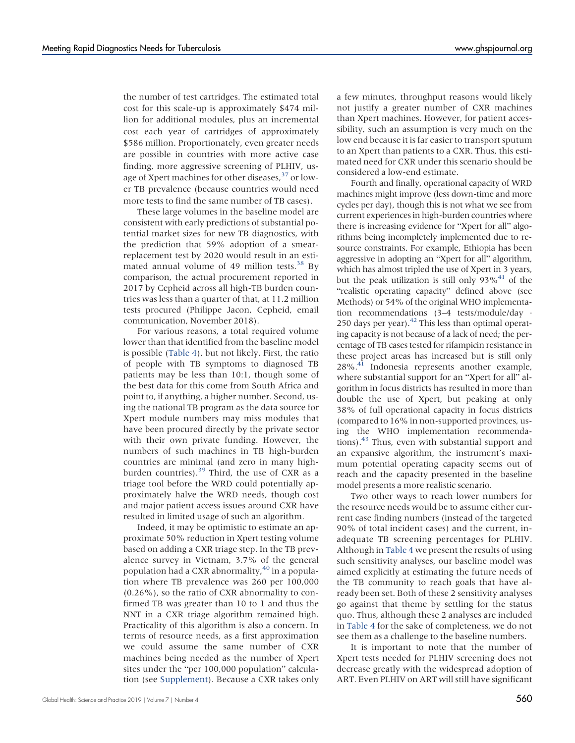the number of test cartridges. The estimated total cost for this scale-up is approximately \$474 million for additional modules, plus an incremental cost each year of cartridges of approximately \$586 million. Proportionately, even greater needs are possible in countries with more active case finding, more aggressive screening of PLHIV, us-age of Xpert machines for other diseases,<sup>[37](#page-12-11)</sup> or lower TB prevalence (because countries would need more tests to find the same number of TB cases).

These large volumes in the baseline model are consistent with early predictions of substantial potential market sizes for new TB diagnostics, with the prediction that 59% adoption of a smearreplacement test by 2020 would result in an estimated annual volume of 49 million tests. $38$  By comparison, the actual procurement reported in 2017 by Cepheid across all high-TB burden countries was less than a quarter of that, at 11.2 million tests procured (Philippe Jacon, Cepheid, email communication, November 2018).

For various reasons, a total required volume lower than that identified from the baseline model is possible ([Table 4\)](#page-7-0), but not likely. First, the ratio of people with TB symptoms to diagnosed TB patients may be less than 10:1, though some of the best data for this come from South Africa and point to, if anything, a higher number. Second, using the national TB program as the data source for Xpert module numbers may miss modules that have been procured directly by the private sector with their own private funding. However, the numbers of such machines in TB high-burden countries are minimal (and zero in many highburden countries). $39$  Third, the use of CXR as a triage tool before the WRD could potentially approximately halve the WRD needs, though cost and major patient access issues around CXR have resulted in limited usage of such an algorithm.

Indeed, it may be optimistic to estimate an approximate 50% reduction in Xpert testing volume based on adding a CXR triage step. In the TB prevalence survey in Vietnam, 3.7% of the general population had a CXR abnormality,  $40$  in a population where TB prevalence was 260 per 100,000 (0.26%), so the ratio of CXR abnormality to confirmed TB was greater than 10 to 1 and thus the NNT in a CXR triage algorithm remained high. Practicality of this algorithm is also a concern. In terms of resource needs, as a first approximation we could assume the same number of CXR machines being needed as the number of Xpert sites under the "per 100,000 population" calculation (see [Supplement\)](http://ghspjournal.org/lookup/suppl/doi:10.9745/GHSP-D-19-00244/-/DCSupplemental). Because a CXR takes only

a few minutes, throughput reasons would likely not justify a greater number of CXR machines than Xpert machines. However, for patient accessibility, such an assumption is very much on the low end because it is far easier to transport sputum to an Xpert than patients to a CXR. Thus, this estimated need for CXR under this scenario should be considered a low-end estimate.

Fourth and finally, operational capacity of WRD machines might improve (less down-time and more cycles per day), though this is not what we see from current experiences in high-burden countries where there is increasing evidence for "Xpert for all" algorithms being incompletely implemented due to resource constraints. For example, Ethiopia has been aggressive in adopting an "Xpert for all" algorithm, which has almost tripled the use of Xpert in 3 years, but the peak utilization is still only  $93\%$ <sup>41</sup> of the "realistic operating capacity" defined above (see Methods) or 54% of the original WHO implementation recommendations (3–4 tests/module/day · 250 days per year). $42$  This less than optimal operating capacity is not because of a lack of need; the percentage of TB cases tested for rifampicin resistance in these project areas has increased but is still only 28%.[41](#page-12-15) Indonesia represents another example, where substantial support for an "Xpert for all" algorithm in focus districts has resulted in more than double the use of Xpert, but peaking at only 38% of full operational capacity in focus districts (compared to 16% in non-supported provinces, using the WHO implementation recommendations)[.43](#page-12-17) Thus, even with substantial support and an expansive algorithm, the instrument's maximum potential operating capacity seems out of reach and the capacity presented in the baseline model presents a more realistic scenario.

Two other ways to reach lower numbers for the resource needs would be to assume either current case finding numbers (instead of the targeted 90% of total incident cases) and the current, inadequate TB screening percentages for PLHIV. Although in [Table 4](#page-7-0) we present the results of using such sensitivity analyses, our baseline model was aimed explicitly at estimating the future needs of the TB community to reach goals that have already been set. Both of these 2 sensitivity analyses go against that theme by settling for the status quo. Thus, although these 2 analyses are included in [Table 4](#page-7-0) for the sake of completeness, we do not see them as a challenge to the baseline numbers.

It is important to note that the number of Xpert tests needed for PLHIV screening does not decrease greatly with the widespread adoption of ART. Even PLHIV on ART will still have significant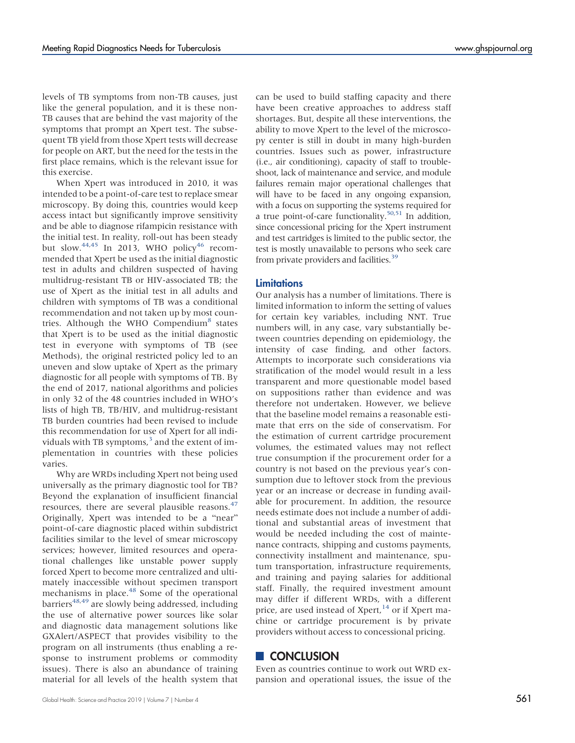levels of TB symptoms from non-TB causes, just like the general population, and it is these non-TB causes that are behind the vast majority of the symptoms that prompt an Xpert test. The subsequent TB yield from those Xpert tests will decrease for people on ART, but the need for the tests in the first place remains, which is the relevant issue for this exercise.

When Xpert was introduced in 2010, it was intended to be a point-of-care test to replace smear microscopy. By doing this, countries would keep access intact but significantly improve sensitivity and be able to diagnose rifampicin resistance with the initial test. In reality, roll-out has been steady but slow.<sup>[44,](#page-12-18)[45](#page-12-19)</sup> In 2013, WHO policy<sup>[46](#page-12-20)</sup> recommended that Xpert be used as the initial diagnostic test in adults and children suspected of having multidrug-resistant TB or HIV-associated TB; the use of Xpert as the initial test in all adults and children with symptoms of TB was a conditional recommendation and not taken up by most coun-tries. Although the WHO Compendium<sup>[8](#page-11-7)</sup> states that Xpert is to be used as the initial diagnostic test in everyone with symptoms of TB (see Methods), the original restricted policy led to an uneven and slow uptake of Xpert as the primary diagnostic for all people with symptoms of TB. By the end of 2017, national algorithms and policies in only 32 of the 48 countries included in WHO's lists of high TB, TB/HIV, and multidrug-resistant TB burden countries had been revised to include this recommendation for use of Xpert for all individuals with TB symptoms, $3$  and the extent of implementation in countries with these policies varies.

Why are WRDs including Xpert not being used universally as the primary diagnostic tool for TB? Beyond the explanation of insufficient financial resources, there are several plausible reasons. $47$ Originally, Xpert was intended to be a "near" point-of-care diagnostic placed within subdistrict facilities similar to the level of smear microscopy services; however, limited resources and operational challenges like unstable power supply forced Xpert to become more centralized and ultimately inaccessible without specimen transport mechanisms in place.<sup>[48](#page-12-22)</sup> Some of the operational barriers<sup>[48,](#page-12-22)[49](#page-12-23)</sup> are slowly being addressed, including the use of alternative power sources like solar and diagnostic data management solutions like GXAlert/ASPECT that provides visibility to the program on all instruments (thus enabling a response to instrument problems or commodity issues). There is also an abundance of training material for all levels of the health system that

can be used to build staffing capacity and there have been creative approaches to address staff shortages. But, despite all these interventions, the ability to move Xpert to the level of the microscopy center is still in doubt in many high-burden countries. Issues such as power, infrastructure (i.e., air conditioning), capacity of staff to troubleshoot, lack of maintenance and service, and module failures remain major operational challenges that will have to be faced in any ongoing expansion, with a focus on supporting the systems required for a true point-of-care functionality.<sup>50[,51](#page-12-25)</sup> In addition, since concessional pricing for the Xpert instrument and test cartridges is limited to the public sector, the test is mostly unavailable to persons who seek care from private providers and facilities.<sup>39</sup>

#### **Limitations**

Our analysis has a number of limitations. There is limited information to inform the setting of values for certain key variables, including NNT. True numbers will, in any case, vary substantially between countries depending on epidemiology, the intensity of case finding, and other factors. Attempts to incorporate such considerations via stratification of the model would result in a less transparent and more questionable model based on suppositions rather than evidence and was therefore not undertaken. However, we believe that the baseline model remains a reasonable estimate that errs on the side of conservatism. For the estimation of current cartridge procurement volumes, the estimated values may not reflect true consumption if the procurement order for a country is not based on the previous year's consumption due to leftover stock from the previous year or an increase or decrease in funding available for procurement. In addition, the resource needs estimate does not include a number of additional and substantial areas of investment that would be needed including the cost of maintenance contracts, shipping and customs payments, connectivity installment and maintenance, sputum transportation, infrastructure requirements, and training and paying salaries for additional staff. Finally, the required investment amount may differ if different WRDs, with a different price, are used instead of Xpert, <sup>[14](#page-11-12)</sup> or if Xpert machine or cartridge procurement is by private providers without access to concessional pricing.

# **CONCLUSION**

Even as countries continue to work out WRD expansion and operational issues, the issue of the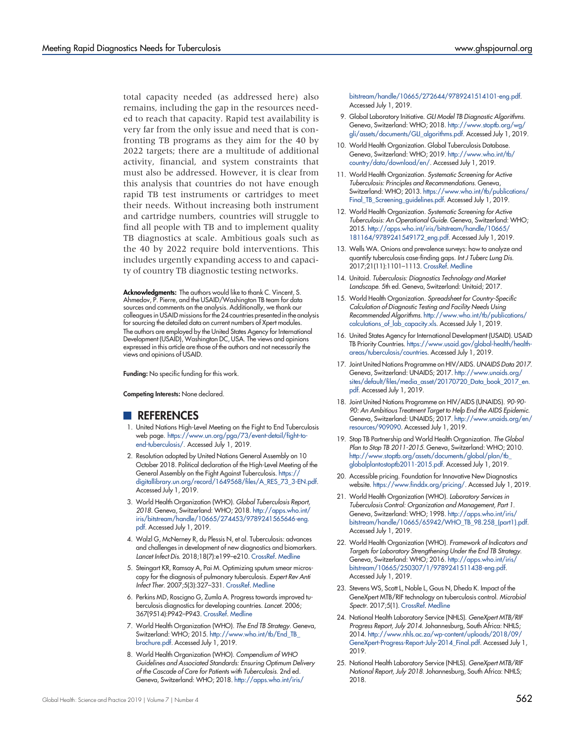total capacity needed (as addressed here) also remains, including the gap in the resources needed to reach that capacity. Rapid test availability is very far from the only issue and need that is confronting TB programs as they aim for the 40 by 2022 targets; there are a multitude of additional activity, financial, and system constraints that must also be addressed. However, it is clear from this analysis that countries do not have enough rapid TB test instruments or cartridges to meet their needs. Without increasing both instrument and cartridge numbers, countries will struggle to find all people with TB and to implement quality TB diagnostics at scale. Ambitious goals such as the 40 by 2022 require bold interventions. This includes urgently expanding access to and capacity of country TB diagnostic testing networks.

Acknowledgments: The authors would like to thank C. Vincent, S. Ahmedov, P. Pierre, and the USAID/Washington TB team for data sources and comments on the analysis. Additionally, we thank our colleagues in USAID missions for the 24 countries presented in the analysis for sourcing the detailed data on current numbers of Xpert modules. The authors are employed by the United States Agency for International Development (USAID), Washington DC, USA. The views and opinions expressed in this article are those of the authors and not necessarily the views and opinions of USAID.

Funding: No specific funding for this work.

Competing Interests: None declared.

# REFERENCES

- <span id="page-11-0"></span>1. United Nations High-Level Meeting on the Fight to End Tuberculosis web page. [https://www.un.org/pga/73/event-detail/fight-to](https://www.un.org/pga/73/event-detail/fight-to-end-tuberculosis/)[end-tuberculosis/](https://www.un.org/pga/73/event-detail/fight-to-end-tuberculosis/). Accessed July 1, 2019.
- <span id="page-11-1"></span>2. Resolution adopted by United Nations General Assembly on 10 October 2018. Political declaration of the High-Level Meeting of the General Assembly on the Fight Against Tuberculosis. [https://](https://digitallibrary.un.org/record/1649568/files/A_RES_73_3-EN.pdf) [digitallibrary.un.org/record/1649568/files/A\\_RES\\_73\\_3-EN.pdf](https://digitallibrary.un.org/record/1649568/files/A_RES_73_3-EN.pdf). Accessed July 1, 2019.
- <span id="page-11-2"></span>3. World Health Organization (WHO). Global Tuberculosis Report, 2018. Geneva, Switzerland: WHO; 2018. [http://apps.who.int/](http://apps.who.int/iris/bitstream/handle/10665/274453/9789241565646-eng.pdf) [iris/bitstream/handle/10665/274453/9789241565646-eng.](http://apps.who.int/iris/bitstream/handle/10665/274453/9789241565646-eng.pdf) [pdf](http://apps.who.int/iris/bitstream/handle/10665/274453/9789241565646-eng.pdf). Accessed July 1, 2019.
- <span id="page-11-3"></span>4. Walzl G, McNerney R, du Plessis N, et al. Tuberculosis: advances and challenges in development of new diagnostics and biomarkers. Lancet Infect Dis. 2018;18(7):e199–e210. [CrossRef.](https://doi.org/10.1016/S1473-3099(18)30111-7) [Medline](http://www.ncbi.nlm.nih.gov/pubmed/29580818)
- <span id="page-11-4"></span>5. Steingart KR, Ramsay A, Pai M. Optimizing sputum smear microscopy for the diagnosis of pulmonary tuberculosis. Expert Rev Anti Infect Ther. 2007;5(3):327–331. [CrossRef.](https://doi.org/10.1586/14787210.5.3.327) [Medline](http://www.ncbi.nlm.nih.gov/pubmed/17547496)
- <span id="page-11-5"></span>6. Perkins MD, Roscigno G, Zumla A. Progress towards improved tuberculosis diagnostics for developing countries. Lancet. 2006; 367(9514):P942–P943. [CrossRef.](https://doi.org/10.1016/S0140-6736(06)68386-4) [Medline](http://www.ncbi.nlm.nih.gov/pubmed/16546544)
- <span id="page-11-6"></span>7. World Health Organization (WHO). The End TB Strategy. Geneva, Switzerland: WHO; 2015. [http://www.who.int/tb/End\\_TB\\_](http://www.who.int/tb/End_TB_brochure.pdf) [brochure.pdf](http://www.who.int/tb/End_TB_brochure.pdf). Accessed July 1, 2019.
- <span id="page-11-7"></span>8. World Health Organization (WHO). Compendium of WHO Guidelines and Associated Standards: Ensuring Optimum Delivery of the Cascade of Care for Patients with Tuberculosis. 2nd ed. Geneva, Switzerland: WHO; 2018. [http://apps.who.int/iris/](http://apps.who.int/iris/bitstream/handle/10665/272644/9789241514101-eng.pdf)

[bitstream/handle/10665/272644/9789241514101-eng.pdf](http://apps.who.int/iris/bitstream/handle/10665/272644/9789241514101-eng.pdf). Accessed July 1, 2019.

- <span id="page-11-8"></span>9. Global Laboratory Initiative. GLI Model TB Diagnostic Algorithms. Geneva, Switzerland: WHO; 2018. [http://www.stoptb.org/wg/](http://www.stoptb.org/wg/gli/assets/documents/GLI_algorithms.pdf) [gli/assets/documents/GLI\\_algorithms.pdf.](http://www.stoptb.org/wg/gli/assets/documents/GLI_algorithms.pdf) Accessed July 1, 2019.
- <span id="page-11-9"></span>10. World Health Organization. Global Tuberculosis Database. Geneva, Switzerland: WHO; 2019. [http://www.who.int/tb/](http://www.who.int/tb/country/data/download/en/) [country/data/download/en/.](http://www.who.int/tb/country/data/download/en/) Accessed July 1, 2019.
- <span id="page-11-10"></span>11. World Health Organization. Systematic Screening for Active Tuberculosis: Principles and Recommendations. Geneva, Switzerland: WHO; 2013. [https://www.who.int/tb/publications/](https://www.who.int/tb/publications/Final_TB_Screening_guidelines.pdf) [Final\\_TB\\_Screening\\_guidelines.pdf.](https://www.who.int/tb/publications/Final_TB_Screening_guidelines.pdf) Accessed July 1, 2019.
- 12. World Health Organization. Systematic Screening for Active Tuberculosis: An Operational Guide. Geneva, Switzerland: WHO; 2015. [http://apps.who.int/iris/bitstream/handle/10665/](http://apps.who.int/iris/bitstream/handle/10665/181164/9789241549172_eng.pdf) [181164/9789241549172\\_eng.pdf.](http://apps.who.int/iris/bitstream/handle/10665/181164/9789241549172_eng.pdf) Accessed July 1, 2019.
- <span id="page-11-11"></span>13. Wells WA. Onions and prevalence surveys: how to analyze and quantify tuberculosis case-finding gaps. Int J Tuberc Lung Dis. 2017;21(11):1101–1113. [CrossRef](https://doi.org/10.5588/ijtld.17.0271). [Medline](http://www.ncbi.nlm.nih.gov/pubmed/29037290)
- <span id="page-11-12"></span>14. Unitaid. Tuberculosis: Diagnostics Technology and Market Landscape. 5th ed. Geneva, Switzerland: Unitaid; 2017.
- <span id="page-11-13"></span>15. World Health Organization. Spreadsheet for Country-Specific Calculation of Diagnostic Testing and Facility Needs Using Recommended Algorithms. [http://www.who.int/tb/publications/](http://www.who.int/tb/publications/calculations_of_lab_capacity.xls) [calculations\\_of\\_lab\\_capacity.xls.](http://www.who.int/tb/publications/calculations_of_lab_capacity.xls) Accessed July 1, 2019.
- <span id="page-11-14"></span>16. United States Agency for International Development (USAID). USAID TB Priority Countries. [https://www.usaid.gov/global-health/health](https://www.usaid.gov/global-health/health-areas/tuberculosis/countries)[areas/tuberculosis/countries](https://www.usaid.gov/global-health/health-areas/tuberculosis/countries). Accessed July 1, 2019.
- <span id="page-11-15"></span>17. Joint United Nations Programme on HIV/AIDS. UNAIDS Data 2017. Geneva, Switzerland: UNAIDS; 2017. [http://www.unaids.org/](http://www.unaids.org/sites/default/files/media_asset/20170720_Data_book_2017_en.pdf) [sites/default/files/media\\_asset/20170720\\_Data\\_book\\_2017\\_en.](http://www.unaids.org/sites/default/files/media_asset/20170720_Data_book_2017_en.pdf) [pdf.](http://www.unaids.org/sites/default/files/media_asset/20170720_Data_book_2017_en.pdf) Accessed July 1, 2019.
- <span id="page-11-16"></span>18. Joint United Nations Programme on HIV/AIDS (UNAIDS). 90-90- 90: An Ambitious Treatment Target to Help End the AIDS Epidemic. Geneva, Switzerland: UNAIDS; 2017. [http://www.unaids.org/en/](http://www.unaids.org/en/resources/909090) [resources/909090](http://www.unaids.org/en/resources/909090). Accessed July 1, 2019.
- <span id="page-11-17"></span>19. Stop TB Partnership and World Health Organization. The Global Plan to Stop TB 2011-2015. Geneva, Switzerland: WHO; 2010. [http://www.stoptb.org/assets/documents/global/plan/tb\\_](http://www.stoptb.org/assets/documents/global/plan/tb_globalplantostoptb2011-2015.pdf) [globalplantostoptb2011-2015.pdf.](http://www.stoptb.org/assets/documents/global/plan/tb_globalplantostoptb2011-2015.pdf) Accessed July 1, 2019.
- <span id="page-11-18"></span>20. Accessible pricing. Foundation for Innovative New Diagnostics website. <https://www.finddx.org/pricing/>. Accessed July 1, 2019.
- <span id="page-11-19"></span>21. World Health Organization (WHO). Laboratory Services in Tuberculosis Control: Organization and Management, Part 1. Geneva, Switzerland: WHO; 1998. [http://apps.who.int/iris/](http://apps.who.int/iris/bitstream/handle/10665/65942/WHO_TB_98.258_(part1).pdf) [bitstream/handle/10665/65942/WHO\\_TB\\_98.258\\_\(part1\).pdf](http://apps.who.int/iris/bitstream/handle/10665/65942/WHO_TB_98.258_(part1).pdf). Accessed July 1, 2019.
- <span id="page-11-20"></span>22. World Health Organization (WHO). Framework of Indicators and Targets for Laboratory Strengthening Under the End TB Strategy. Geneva, Switzerland: WHO; 2016. [http://apps.who.int/iris/](http://apps.who.int/iris/bitstream/10665/250307/1/9789241511438-eng.pdf) [bitstream/10665/250307/1/9789241511438-eng.pdf](http://apps.who.int/iris/bitstream/10665/250307/1/9789241511438-eng.pdf). Accessed July 1, 2019.
- <span id="page-11-21"></span>23. Stevens WS, Scott L, Noble L, Gous N, Dheda K. Impact of the GeneXpert MTB/RIF technology on tuberculosis control. Microbiol Spectr. 2017;5(1). [CrossRef](https://doi.org/10.1128/microbiolspec.TBTB2-0040-2016). [Medline](http://www.ncbi.nlm.nih.gov/pubmed/28155817)
- <span id="page-11-22"></span>24. National Health Laboratory Service (NHLS). GeneXpert MTB/RIF Progress Report, July 2014. Johannesburg, South Africa: NHLS; 2014. [http://www.nhls.ac.za/wp-content/uploads/2018/09/](http://www.nhls.ac.za/wp-content/uploads/2018/09/GeneXpert-Progress-Report-July-2014_Final.pdf) [GeneXpert-Progress-Report-July-2014\\_Final.pdf](http://www.nhls.ac.za/wp-content/uploads/2018/09/GeneXpert-Progress-Report-July-2014_Final.pdf). Accessed July 1, 2019.
- <span id="page-11-23"></span>25. National Health Laboratory Service (NHLS). GeneXpert MTB/RIF National Report, July 2018. Johannesburg, South Africa: NHLS; 2018.